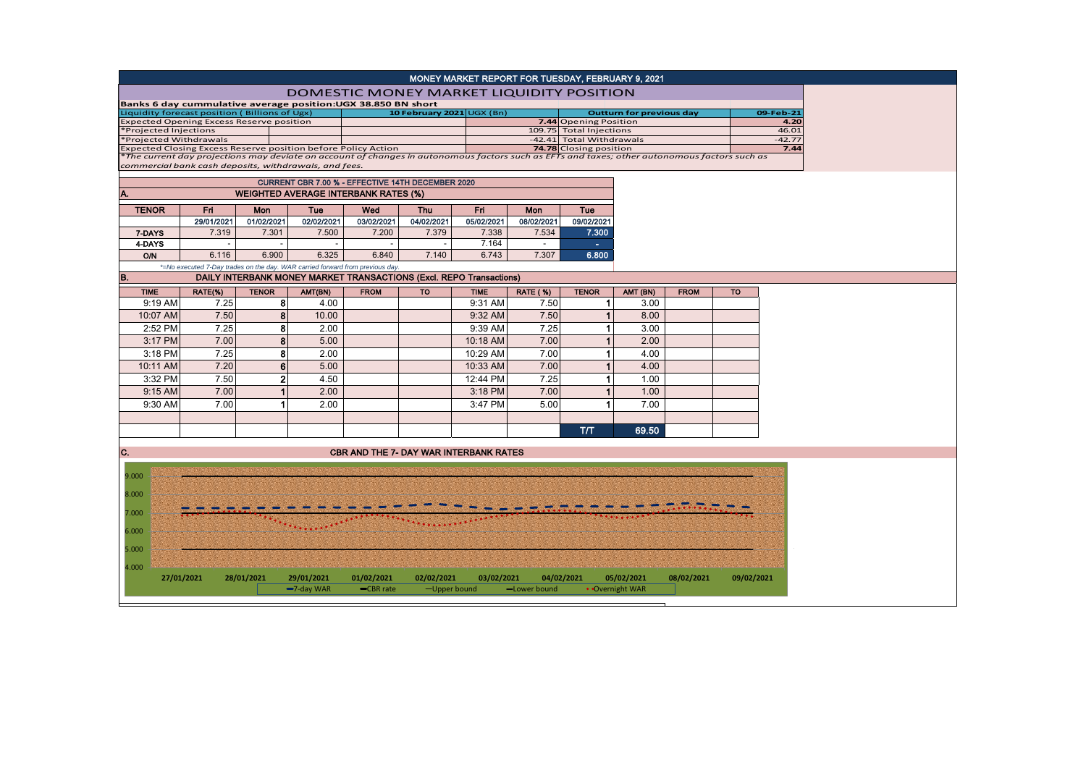| MONEY MARKET REPORT FOR TUESDAY, FEBRUARY 9, 2021                                                                                            |                                                   |                          |                |                                                                              |                                                              |                                                                            |             |                   |                                                          |                          |             |            |               |
|----------------------------------------------------------------------------------------------------------------------------------------------|---------------------------------------------------|--------------------------|----------------|------------------------------------------------------------------------------|--------------------------------------------------------------|----------------------------------------------------------------------------|-------------|-------------------|----------------------------------------------------------|--------------------------|-------------|------------|---------------|
| <b>DOMESTIC MONEY MARKET LIQUIDITY POSITION</b>                                                                                              |                                                   |                          |                |                                                                              |                                                              |                                                                            |             |                   |                                                          |                          |             |            |               |
|                                                                                                                                              |                                                   |                          |                |                                                                              | Banks 6 day cummulative average position:UGX 38.850 BN short |                                                                            |             |                   |                                                          |                          |             |            |               |
| Liquidity forecast position (Billions of Ugx)<br><b>Expected Opening Excess Reserve position</b>                                             |                                                   |                          |                |                                                                              |                                                              | 10 February 2021 UGX (Bn)                                                  |             |                   | <b>Outturn for previous day</b><br>7.44 Opening Position |                          |             |            | 09-Feb-21     |
| *Projected Injections                                                                                                                        |                                                   |                          |                |                                                                              |                                                              |                                                                            |             |                   | 109.75 Total Injections                                  |                          |             |            | 4.20<br>46.01 |
| *Projected Withdrawals                                                                                                                       |                                                   |                          |                |                                                                              |                                                              |                                                                            |             |                   |                                                          | -42.41 Total Withdrawals |             |            | $-42.77$      |
| Expected Closing Excess Reserve position before Policy Action                                                                                |                                                   |                          |                |                                                                              |                                                              |                                                                            |             |                   | 74.78 Closing position                                   |                          |             |            | 7.44          |
| The current day projections may deviate on account of changes in autonomous factors such as EFTs and taxes; other autonomous factors such as |                                                   |                          |                |                                                                              |                                                              |                                                                            |             |                   |                                                          |                          |             |            |               |
| commercial bank cash deposits, withdrawals, and fees.                                                                                        |                                                   |                          |                |                                                                              |                                                              |                                                                            |             |                   |                                                          |                          |             |            |               |
|                                                                                                                                              | CURRENT CBR 7.00 % - EFFECTIVE 14TH DECEMBER 2020 |                          |                |                                                                              |                                                              |                                                                            |             |                   |                                                          |                          |             |            |               |
| A.                                                                                                                                           | <b>WEIGHTED AVERAGE INTERBANK RATES (%)</b>       |                          |                |                                                                              |                                                              |                                                                            |             |                   |                                                          |                          |             |            |               |
| <b>TENOR</b>                                                                                                                                 |                                                   | Fri.                     | <b>Mon</b>     | <b>Tue</b>                                                                   | Wed                                                          | <b>Thu</b>                                                                 |             | Fri<br><b>Mon</b> |                                                          | Tue                      |             |            |               |
|                                                                                                                                              |                                                   | 29/01/2021               | 01/02/2021     | 02/02/2021                                                                   | 03/02/2021                                                   | 04/02/2021                                                                 | 05/02/2021  | 08/02/2021        | 09/02/2021                                               |                          |             |            |               |
| 7-DAYS                                                                                                                                       |                                                   | 7.319                    | 7.301          | 7.500                                                                        | 7.200                                                        | 7.379                                                                      | 7.338       | 7.534             | 7.300                                                    |                          |             |            |               |
| 4-DAYS                                                                                                                                       |                                                   | $\overline{\phantom{a}}$ |                | $\sim$                                                                       | $\overline{\phantom{a}}$                                     | $\overline{\phantom{a}}$                                                   | 7.164       | $\sim$            | $\sim$                                                   |                          |             |            |               |
| <b>O/N</b>                                                                                                                                   |                                                   | 6.116                    | 6.900          | 6.325                                                                        | 6.840                                                        | 7.140                                                                      | 6.743       | 7.307             | 6.800                                                    |                          |             |            |               |
|                                                                                                                                              |                                                   |                          |                | *=No executed 7-Day trades on the day. WAR carried forward from previous day |                                                              |                                                                            |             |                   |                                                          |                          |             |            |               |
| B.                                                                                                                                           |                                                   |                          |                |                                                                              |                                                              | <b>DAILY INTERBANK MONEY MARKET TRANSACTIONS (Excl. REPO Transactions)</b> |             |                   |                                                          |                          |             |            |               |
| <b>TIME</b>                                                                                                                                  |                                                   | RATE(%)                  | <b>TENOR</b>   | AMT(BN)                                                                      | <b>FROM</b>                                                  | TO                                                                         | <b>TIME</b> | <b>RATE (%)</b>   | <b>TENOR</b>                                             | AMT (BN)                 | <b>FROM</b> | <b>TO</b>  |               |
| 9:19 AM                                                                                                                                      |                                                   | 7.25                     | 8              | 4.00                                                                         |                                                              |                                                                            | 9:31 AM     | 7.50              | 1                                                        | 3.00                     |             |            |               |
| 10:07 AM                                                                                                                                     |                                                   | 7.50                     | 8              | 10.00                                                                        |                                                              |                                                                            | 9:32 AM     | 7.50              | 1                                                        | 8.00                     |             |            |               |
| 2:52 PM                                                                                                                                      |                                                   | 7.25                     | 8              | 2.00                                                                         |                                                              |                                                                            | 9:39 AM     | 7.25              | 1                                                        | 3.00                     |             |            |               |
| 3:17 PM                                                                                                                                      |                                                   | 7.00                     | 8              | 5.00                                                                         |                                                              |                                                                            | 10:18 AM    | 7.00              | 1                                                        | 2.00                     |             |            |               |
| 3:18 PM                                                                                                                                      |                                                   | 7.25                     | 8              | 2.00                                                                         |                                                              |                                                                            | 10:29 AM    | 7.00              | 1                                                        | 4.00                     |             |            |               |
| 10:11 AM                                                                                                                                     |                                                   | 7.20                     | 6              | 5.00                                                                         |                                                              |                                                                            | 10:33 AM    | 7.00              | $\mathbf{1}$                                             | 4.00                     |             |            |               |
| 3:32 PM                                                                                                                                      |                                                   | 7.50                     | $\overline{2}$ | 4.50                                                                         |                                                              |                                                                            | 12:44 PM    | 7.25              | 1                                                        | 1.00                     |             |            |               |
| 9:15 AM                                                                                                                                      |                                                   | 7.00                     | $\mathbf{1}$   | 2.00                                                                         |                                                              |                                                                            | 3:18 PM     | 7.00              | $\mathbf{1}$                                             | 1.00                     |             |            |               |
| 9:30 AM                                                                                                                                      |                                                   | 7.00                     | 1              | 2.00                                                                         |                                                              |                                                                            | 3:47 PM     | 5.00              | 1                                                        | 7.00                     |             |            |               |
|                                                                                                                                              |                                                   |                          |                |                                                                              |                                                              |                                                                            |             |                   |                                                          |                          |             |            |               |
|                                                                                                                                              |                                                   |                          |                |                                                                              |                                                              |                                                                            |             |                   |                                                          |                          |             |            |               |
|                                                                                                                                              |                                                   |                          |                |                                                                              |                                                              |                                                                            |             |                   | тл                                                       | 69.50                    |             |            |               |
| C.                                                                                                                                           |                                                   |                          |                |                                                                              |                                                              | <b>CBR AND THE 7- DAY WAR INTERBANK RATES</b>                              |             |                   |                                                          |                          |             |            |               |
|                                                                                                                                              |                                                   |                          |                |                                                                              |                                                              |                                                                            |             |                   |                                                          |                          |             |            |               |
| 9.000                                                                                                                                        |                                                   |                          |                |                                                                              |                                                              |                                                                            |             |                   |                                                          |                          |             |            |               |
|                                                                                                                                              |                                                   |                          |                |                                                                              |                                                              |                                                                            |             |                   |                                                          |                          |             |            |               |
| 8.000                                                                                                                                        |                                                   |                          |                |                                                                              |                                                              |                                                                            |             |                   |                                                          |                          |             |            |               |
| 7.000                                                                                                                                        |                                                   |                          |                |                                                                              |                                                              |                                                                            |             |                   |                                                          |                          |             |            |               |
|                                                                                                                                              |                                                   |                          |                |                                                                              |                                                              |                                                                            |             |                   |                                                          |                          |             |            |               |
| 6.000                                                                                                                                        |                                                   |                          |                |                                                                              |                                                              |                                                                            |             |                   |                                                          |                          |             |            |               |
| 5.000                                                                                                                                        |                                                   |                          |                |                                                                              |                                                              |                                                                            |             |                   |                                                          |                          |             |            |               |
|                                                                                                                                              |                                                   |                          |                |                                                                              |                                                              |                                                                            |             |                   |                                                          |                          |             |            |               |
| 4.000                                                                                                                                        |                                                   |                          |                |                                                                              |                                                              |                                                                            |             |                   |                                                          |                          |             |            |               |
|                                                                                                                                              | 27/01/2021                                        |                          | 28/01/2021     | 29/01/2021                                                                   | 01/02/2021                                                   | 02/02/2021                                                                 | 03/02/2021  |                   | 04/02/2021                                               | 05/02/2021               | 08/02/2021  | 09/02/2021 |               |
|                                                                                                                                              |                                                   |                          |                | -7-day WAR                                                                   | -CBR rate                                                    | -Upper bound                                                               |             | -Lower bound      |                                                          | • Overnight WAR          |             |            |               |